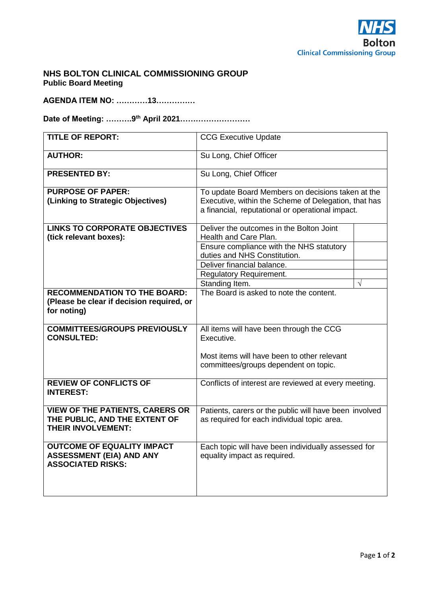

### **NHS BOLTON CLINICAL COMMISSIONING GROUP Public Board Meeting**

**AGENDA ITEM NO: …………13……………**

**Date of Meeting: ……….9th April 2021………………………**

| <b>TITLE OF REPORT:</b>                                  | <b>CCG Executive Update</b>                            |            |
|----------------------------------------------------------|--------------------------------------------------------|------------|
| <b>AUTHOR:</b>                                           | Su Long, Chief Officer                                 |            |
| <b>PRESENTED BY:</b>                                     | Su Long, Chief Officer                                 |            |
| <b>PURPOSE OF PAPER:</b>                                 | To update Board Members on decisions taken at the      |            |
| (Linking to Strategic Objectives)                        | Executive, within the Scheme of Delegation, that has   |            |
|                                                          | a financial, reputational or operational impact.       |            |
| <b>LINKS TO CORPORATE OBJECTIVES</b>                     | Deliver the outcomes in the Bolton Joint               |            |
| (tick relevant boxes):                                   | Health and Care Plan.                                  |            |
|                                                          | Ensure compliance with the NHS statutory               |            |
|                                                          | duties and NHS Constitution.                           |            |
|                                                          | Deliver financial balance.                             |            |
|                                                          | <b>Regulatory Requirement.</b>                         |            |
|                                                          | Standing Item.                                         | $\sqrt{ }$ |
| <b>RECOMMENDATION TO THE BOARD:</b>                      | The Board is asked to note the content.                |            |
| (Please be clear if decision required, or                |                                                        |            |
| for noting)                                              |                                                        |            |
|                                                          |                                                        |            |
| <b>COMMITTEES/GROUPS PREVIOUSLY</b><br><b>CONSULTED:</b> | All items will have been through the CCG<br>Executive. |            |
|                                                          |                                                        |            |
|                                                          | Most items will have been to other relevant            |            |
|                                                          | committees/groups dependent on topic.                  |            |
|                                                          |                                                        |            |
| <b>REVIEW OF CONFLICTS OF</b>                            | Conflicts of interest are reviewed at every meeting.   |            |
| <b>INTEREST:</b>                                         |                                                        |            |
|                                                          |                                                        |            |
| <b>VIEW OF THE PATIENTS, CARERS OR</b>                   | Patients, carers or the public will have been involved |            |
| THE PUBLIC, AND THE EXTENT OF                            | as required for each individual topic area.            |            |
| <b>THEIR INVOLVEMENT:</b>                                |                                                        |            |
| <b>OUTCOME OF EQUALITY IMPACT</b>                        | Each topic will have been individually assessed for    |            |
| <b>ASSESSMENT (EIA) AND ANY</b>                          | equality impact as required.                           |            |
| <b>ASSOCIATED RISKS:</b>                                 |                                                        |            |
|                                                          |                                                        |            |
|                                                          |                                                        |            |
|                                                          |                                                        |            |